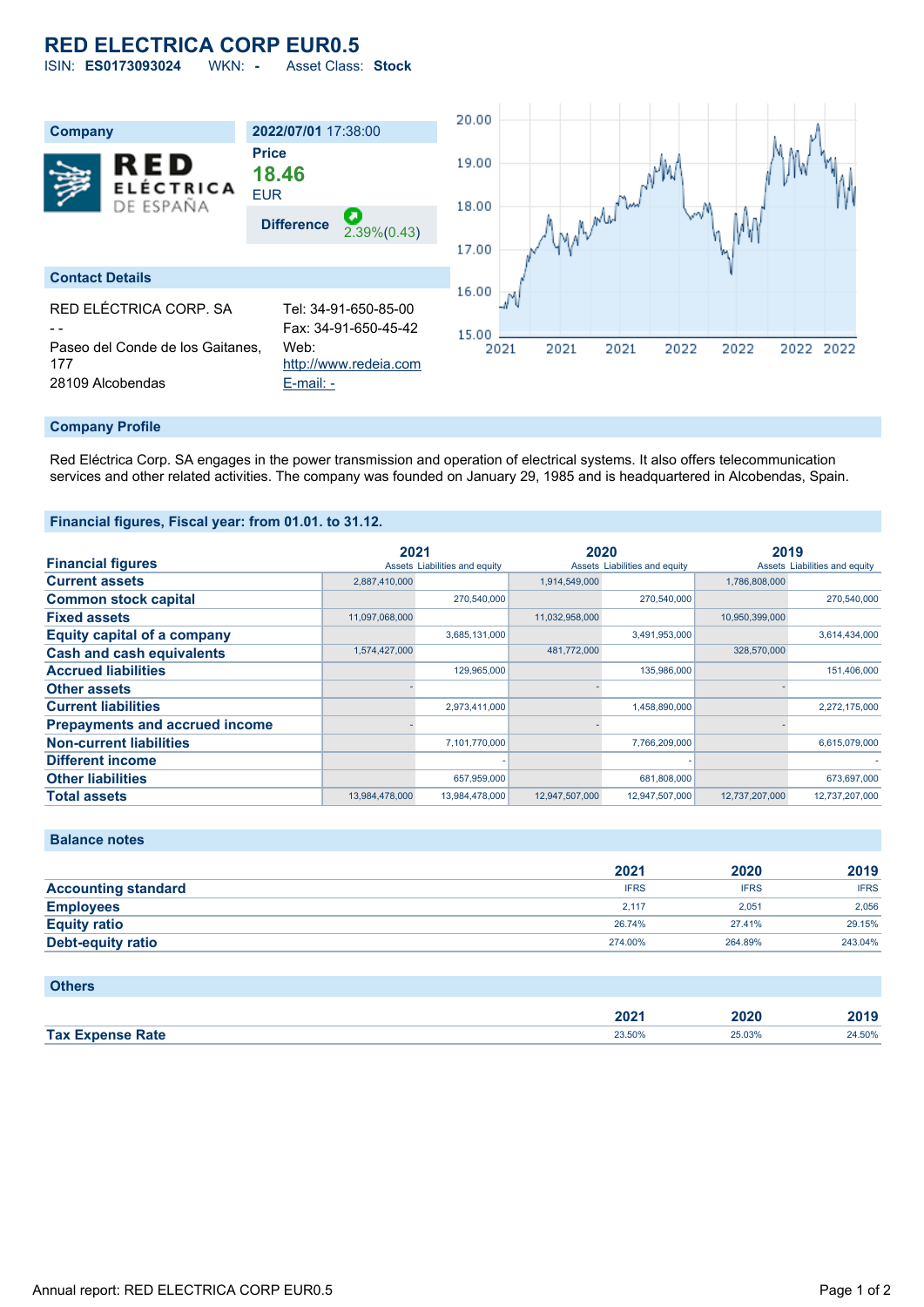## **RED ELECTRICA CORP EUR0.5**

ISIN: **ES0173093024** WKN: **-** Asset Class: **Stock**



#### **Company Profile**

Red Eléctrica Corp. SA engages in the power transmission and operation of electrical systems. It also offers telecommunication services and other related activities. The company was founded on January 29, 1985 and is headquartered in Alcobendas, Spain.

### **Financial figures, Fiscal year: from 01.01. to 31.12.**

|                                       | 2021           |                               | 2020           |                               | 2019           |                               |
|---------------------------------------|----------------|-------------------------------|----------------|-------------------------------|----------------|-------------------------------|
| <b>Financial figures</b>              |                | Assets Liabilities and equity |                | Assets Liabilities and equity |                | Assets Liabilities and equity |
| <b>Current assets</b>                 | 2,887,410,000  |                               | 1,914,549,000  |                               | 1,786,808,000  |                               |
| <b>Common stock capital</b>           |                | 270.540.000                   |                | 270.540.000                   |                | 270,540,000                   |
| <b>Fixed assets</b>                   | 11,097,068,000 |                               | 11,032,958,000 |                               | 10,950,399,000 |                               |
| <b>Equity capital of a company</b>    |                | 3,685,131,000                 |                | 3,491,953,000                 |                | 3,614,434,000                 |
| <b>Cash and cash equivalents</b>      | 1,574,427,000  |                               | 481,772,000    |                               | 328,570,000    |                               |
| <b>Accrued liabilities</b>            |                | 129.965.000                   |                | 135.986.000                   |                | 151,406,000                   |
| <b>Other assets</b>                   |                |                               |                |                               |                |                               |
| <b>Current liabilities</b>            |                | 2.973.411.000                 |                | 1,458,890,000                 |                | 2,272,175,000                 |
| <b>Prepayments and accrued income</b> |                |                               |                |                               |                |                               |
| <b>Non-current liabilities</b>        |                | 7,101,770,000                 |                | 7,766,209,000                 |                | 6,615,079,000                 |
| <b>Different income</b>               |                |                               |                |                               |                |                               |
| <b>Other liabilities</b>              |                | 657,959,000                   |                | 681,808,000                   |                | 673,697,000                   |
| <b>Total assets</b>                   | 13,984,478,000 | 13,984,478,000                | 12,947,507,000 | 12,947,507,000                | 12,737,207,000 | 12,737,207,000                |

| <b>Balance notes</b> |  |  |  |
|----------------------|--|--|--|
|                      |  |  |  |

|                            | 2021        | 2020        | 2019        |
|----------------------------|-------------|-------------|-------------|
| <b>Accounting standard</b> | <b>IFRS</b> | <b>IFRS</b> | <b>IFRS</b> |
| <b>Employees</b>           | 2.117       | 2.051       | 2,056       |
| <b>Equity ratio</b>        | 26.74%      | 27.41%      | 29.15%      |
| <b>Debt-equity ratio</b>   | 274.00%     | 264.89%     | 243.04%     |

## **Others**

|                                               | ימחר<br>ZUZ F | 2020   | 3040<br><b>ZU19</b> |
|-----------------------------------------------|---------------|--------|---------------------|
| Tax E.<br>Rate<br>$\epsilon$ Expanse $\Gamma$ | 23.50%        | 25.03% | 24.50%              |